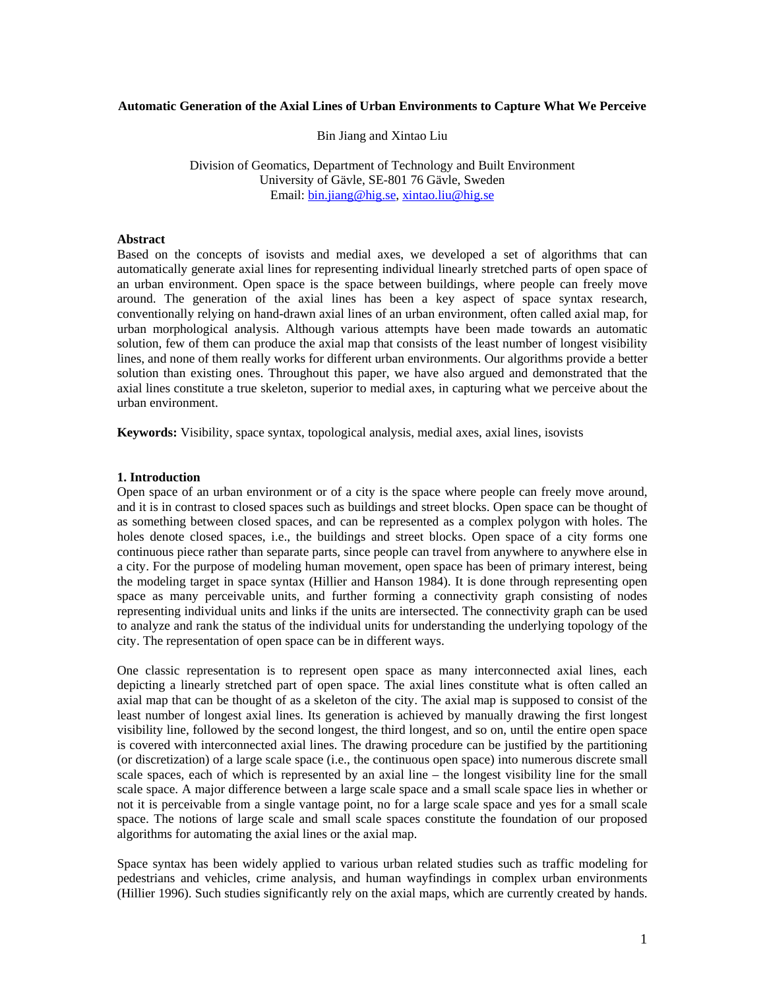# **Automatic Generation of the Axial Lines of Urban Environments to Capture What We Perceive**

Bin Jiang and Xintao Liu

Division of Geomatics, Department of Technology and Built Environment University of Gävle, SE-801 76 Gävle, Sweden Email: bin.jiang@hig.se, xintao.liu@hig.se

## **Abstract**

Based on the concepts of isovists and medial axes, we developed a set of algorithms that can automatically generate axial lines for representing individual linearly stretched parts of open space of an urban environment. Open space is the space between buildings, where people can freely move around. The generation of the axial lines has been a key aspect of space syntax research, conventionally relying on hand-drawn axial lines of an urban environment, often called axial map, for urban morphological analysis. Although various attempts have been made towards an automatic solution, few of them can produce the axial map that consists of the least number of longest visibility lines, and none of them really works for different urban environments. Our algorithms provide a better solution than existing ones. Throughout this paper, we have also argued and demonstrated that the axial lines constitute a true skeleton, superior to medial axes, in capturing what we perceive about the urban environment.

**Keywords:** Visibility, space syntax, topological analysis, medial axes, axial lines, isovists

### **1. Introduction**

Open space of an urban environment or of a city is the space where people can freely move around, and it is in contrast to closed spaces such as buildings and street blocks. Open space can be thought of as something between closed spaces, and can be represented as a complex polygon with holes. The holes denote closed spaces, i.e., the buildings and street blocks. Open space of a city forms one continuous piece rather than separate parts, since people can travel from anywhere to anywhere else in a city. For the purpose of modeling human movement, open space has been of primary interest, being the modeling target in space syntax (Hillier and Hanson 1984). It is done through representing open space as many perceivable units, and further forming a connectivity graph consisting of nodes representing individual units and links if the units are intersected. The connectivity graph can be used to analyze and rank the status of the individual units for understanding the underlying topology of the city. The representation of open space can be in different ways.

One classic representation is to represent open space as many interconnected axial lines, each depicting a linearly stretched part of open space. The axial lines constitute what is often called an axial map that can be thought of as a skeleton of the city. The axial map is supposed to consist of the least number of longest axial lines. Its generation is achieved by manually drawing the first longest visibility line, followed by the second longest, the third longest, and so on, until the entire open space is covered with interconnected axial lines. The drawing procedure can be justified by the partitioning (or discretization) of a large scale space (i.e., the continuous open space) into numerous discrete small scale spaces, each of which is represented by an axial line – the longest visibility line for the small scale space. A major difference between a large scale space and a small scale space lies in whether or not it is perceivable from a single vantage point, no for a large scale space and yes for a small scale space. The notions of large scale and small scale spaces constitute the foundation of our proposed algorithms for automating the axial lines or the axial map.

Space syntax has been widely applied to various urban related studies such as traffic modeling for pedestrians and vehicles, crime analysis, and human wayfindings in complex urban environments (Hillier 1996). Such studies significantly rely on the axial maps, which are currently created by hands.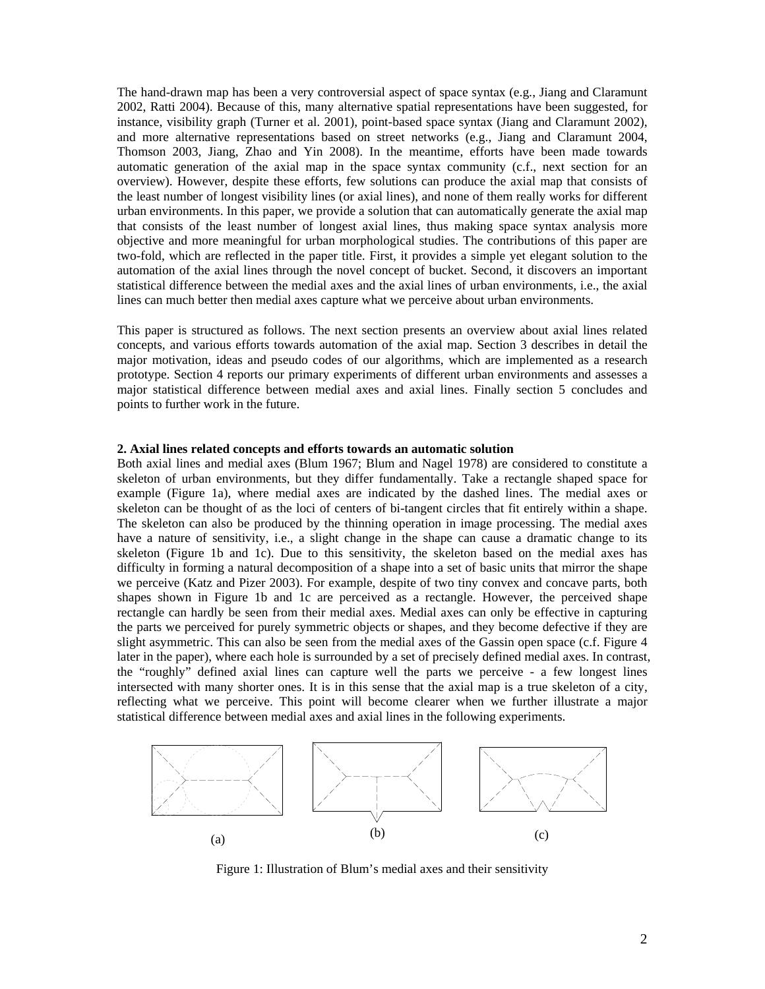The hand-drawn map has been a very controversial aspect of space syntax (e.g., Jiang and Claramunt 2002, Ratti 2004). Because of this, many alternative spatial representations have been suggested, for instance, visibility graph (Turner et al. 2001), point-based space syntax (Jiang and Claramunt 2002), and more alternative representations based on street networks (e.g., Jiang and Claramunt 2004, Thomson 2003, Jiang, Zhao and Yin 2008). In the meantime, efforts have been made towards automatic generation of the axial map in the space syntax community (c.f., next section for an overview). However, despite these efforts, few solutions can produce the axial map that consists of the least number of longest visibility lines (or axial lines), and none of them really works for different urban environments. In this paper, we provide a solution that can automatically generate the axial map that consists of the least number of longest axial lines, thus making space syntax analysis more objective and more meaningful for urban morphological studies. The contributions of this paper are two-fold, which are reflected in the paper title. First, it provides a simple yet elegant solution to the automation of the axial lines through the novel concept of bucket. Second, it discovers an important statistical difference between the medial axes and the axial lines of urban environments, i.e., the axial lines can much better then medial axes capture what we perceive about urban environments.

This paper is structured as follows. The next section presents an overview about axial lines related concepts, and various efforts towards automation of the axial map. Section 3 describes in detail the major motivation, ideas and pseudo codes of our algorithms, which are implemented as a research prototype. Section 4 reports our primary experiments of different urban environments and assesses a major statistical difference between medial axes and axial lines. Finally section 5 concludes and points to further work in the future.

## **2. Axial lines related concepts and efforts towards an automatic solution**

Both axial lines and medial axes (Blum 1967; Blum and Nagel 1978) are considered to constitute a skeleton of urban environments, but they differ fundamentally. Take a rectangle shaped space for example (Figure 1a), where medial axes are indicated by the dashed lines. The medial axes or skeleton can be thought of as the loci of centers of bi-tangent circles that fit entirely within a shape. The skeleton can also be produced by the thinning operation in image processing. The medial axes have a nature of sensitivity, i.e., a slight change in the shape can cause a dramatic change to its skeleton (Figure 1b and 1c). Due to this sensitivity, the skeleton based on the medial axes has difficulty in forming a natural decomposition of a shape into a set of basic units that mirror the shape we perceive (Katz and Pizer 2003). For example, despite of two tiny convex and concave parts, both shapes shown in Figure 1b and 1c are perceived as a rectangle. However, the perceived shape rectangle can hardly be seen from their medial axes. Medial axes can only be effective in capturing the parts we perceived for purely symmetric objects or shapes, and they become defective if they are slight asymmetric. This can also be seen from the medial axes of the Gassin open space (c.f. Figure 4 later in the paper), where each hole is surrounded by a set of precisely defined medial axes. In contrast, the "roughly" defined axial lines can capture well the parts we perceive - a few longest lines intersected with many shorter ones. It is in this sense that the axial map is a true skeleton of a city, reflecting what we perceive. This point will become clearer when we further illustrate a major statistical difference between medial axes and axial lines in the following experiments.



Figure 1: Illustration of Blum's medial axes and their sensitivity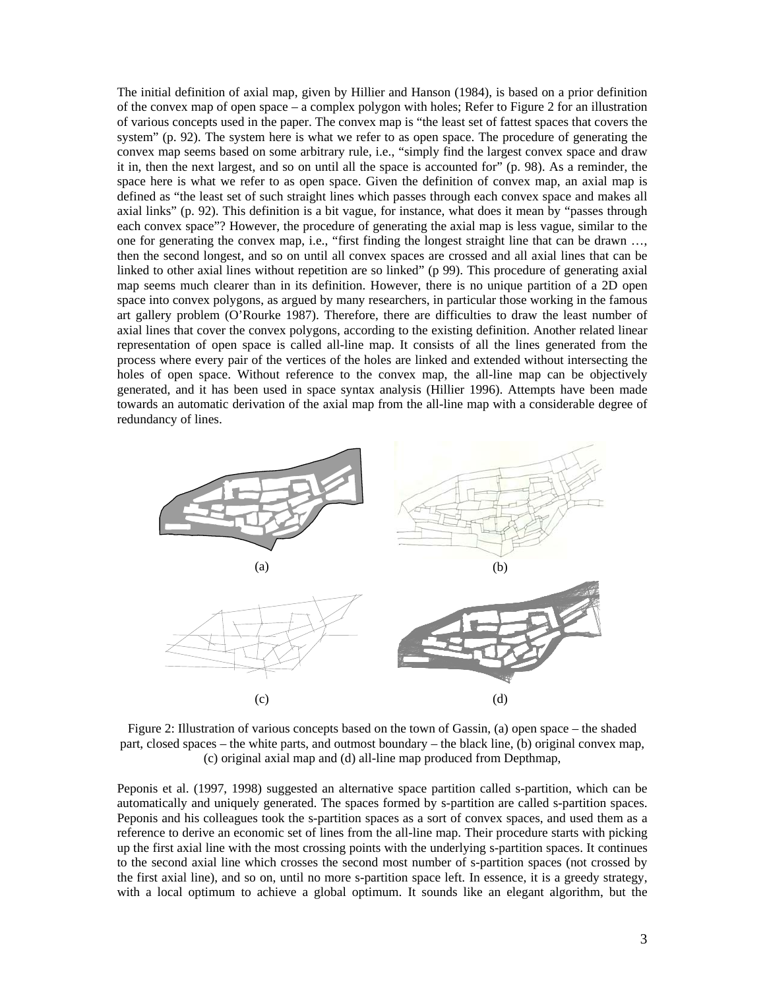The initial definition of axial map, given by Hillier and Hanson (1984), is based on a prior definition of the convex map of open space – a complex polygon with holes; Refer to Figure 2 for an illustration of various concepts used in the paper. The convex map is "the least set of fattest spaces that covers the system" (p. 92). The system here is what we refer to as open space. The procedure of generating the convex map seems based on some arbitrary rule, i.e., "simply find the largest convex space and draw it in, then the next largest, and so on until all the space is accounted for" (p. 98). As a reminder, the space here is what we refer to as open space. Given the definition of convex map, an axial map is defined as "the least set of such straight lines which passes through each convex space and makes all axial links" (p. 92). This definition is a bit vague, for instance, what does it mean by "passes through each convex space"? However, the procedure of generating the axial map is less vague, similar to the one for generating the convex map, i.e., "first finding the longest straight line that can be drawn …, then the second longest, and so on until all convex spaces are crossed and all axial lines that can be linked to other axial lines without repetition are so linked" (p 99). This procedure of generating axial map seems much clearer than in its definition. However, there is no unique partition of a 2D open space into convex polygons, as argued by many researchers, in particular those working in the famous art gallery problem (O'Rourke 1987). Therefore, there are difficulties to draw the least number of axial lines that cover the convex polygons, according to the existing definition. Another related linear representation of open space is called all-line map. It consists of all the lines generated from the process where every pair of the vertices of the holes are linked and extended without intersecting the holes of open space. Without reference to the convex map, the all-line map can be objectively generated, and it has been used in space syntax analysis (Hillier 1996). Attempts have been made towards an automatic derivation of the axial map from the all-line map with a considerable degree of redundancy of lines.



Figure 2: Illustration of various concepts based on the town of Gassin, (a) open space – the shaded part, closed spaces – the white parts, and outmost boundary – the black line, (b) original convex map, (c) original axial map and (d) all-line map produced from Depthmap,

Peponis et al. (1997, 1998) suggested an alternative space partition called s-partition, which can be automatically and uniquely generated. The spaces formed by s-partition are called s-partition spaces. Peponis and his colleagues took the s-partition spaces as a sort of convex spaces, and used them as a reference to derive an economic set of lines from the all-line map. Their procedure starts with picking up the first axial line with the most crossing points with the underlying s-partition spaces. It continues to the second axial line which crosses the second most number of s-partition spaces (not crossed by the first axial line), and so on, until no more s-partition space left. In essence, it is a greedy strategy, with a local optimum to achieve a global optimum. It sounds like an elegant algorithm, but the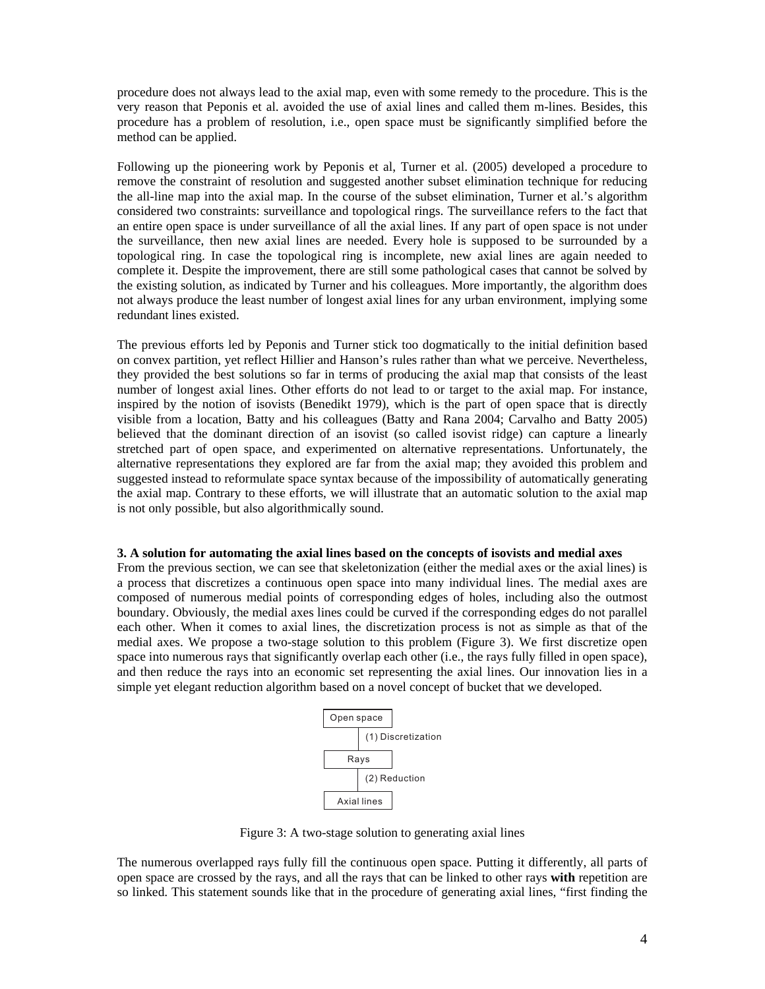procedure does not always lead to the axial map, even with some remedy to the procedure. This is the very reason that Peponis et al. avoided the use of axial lines and called them m-lines. Besides, this procedure has a problem of resolution, i.e., open space must be significantly simplified before the method can be applied.

Following up the pioneering work by Peponis et al, Turner et al. (2005) developed a procedure to remove the constraint of resolution and suggested another subset elimination technique for reducing the all-line map into the axial map. In the course of the subset elimination, Turner et al.'s algorithm considered two constraints: surveillance and topological rings. The surveillance refers to the fact that an entire open space is under surveillance of all the axial lines. If any part of open space is not under the surveillance, then new axial lines are needed. Every hole is supposed to be surrounded by a topological ring. In case the topological ring is incomplete, new axial lines are again needed to complete it. Despite the improvement, there are still some pathological cases that cannot be solved by the existing solution, as indicated by Turner and his colleagues. More importantly, the algorithm does not always produce the least number of longest axial lines for any urban environment, implying some redundant lines existed.

The previous efforts led by Peponis and Turner stick too dogmatically to the initial definition based on convex partition, yet reflect Hillier and Hanson's rules rather than what we perceive. Nevertheless, they provided the best solutions so far in terms of producing the axial map that consists of the least number of longest axial lines. Other efforts do not lead to or target to the axial map. For instance, inspired by the notion of isovists (Benedikt 1979), which is the part of open space that is directly visible from a location, Batty and his colleagues (Batty and Rana 2004; Carvalho and Batty 2005) believed that the dominant direction of an isovist (so called isovist ridge) can capture a linearly stretched part of open space, and experimented on alternative representations. Unfortunately, the alternative representations they explored are far from the axial map; they avoided this problem and suggested instead to reformulate space syntax because of the impossibility of automatically generating the axial map. Contrary to these efforts, we will illustrate that an automatic solution to the axial map is not only possible, but also algorithmically sound.

### **3. A solution for automating the axial lines based on the concepts of isovists and medial axes**

From the previous section, we can see that skeletonization (either the medial axes or the axial lines) is a process that discretizes a continuous open space into many individual lines. The medial axes are composed of numerous medial points of corresponding edges of holes, including also the outmost boundary. Obviously, the medial axes lines could be curved if the corresponding edges do not parallel each other. When it comes to axial lines, the discretization process is not as simple as that of the medial axes. We propose a two-stage solution to this problem (Figure 3). We first discretize open space into numerous rays that significantly overlap each other (i.e., the rays fully filled in open space), and then reduce the rays into an economic set representing the axial lines. Our innovation lies in a simple yet elegant reduction algorithm based on a novel concept of bucket that we developed.



Figure 3: A two-stage solution to generating axial lines

The numerous overlapped rays fully fill the continuous open space. Putting it differently, all parts of open space are crossed by the rays, and all the rays that can be linked to other rays **with** repetition are so linked. This statement sounds like that in the procedure of generating axial lines, "first finding the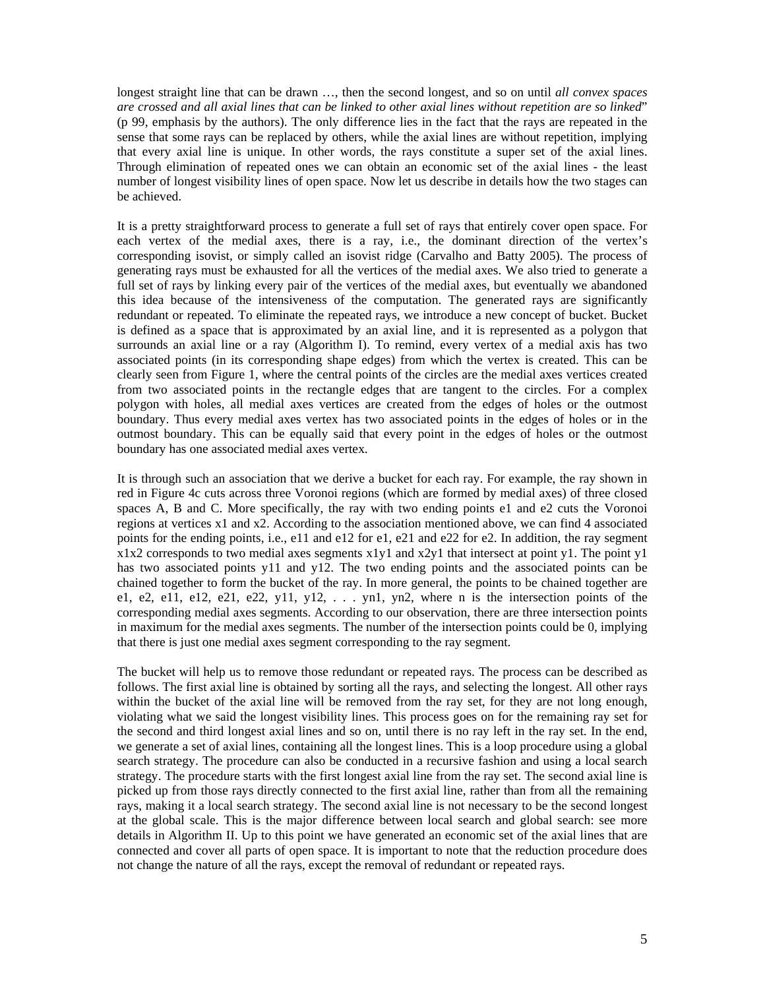longest straight line that can be drawn …, then the second longest, and so on until *all convex spaces are crossed and all axial lines that can be linked to other axial lines without repetition are so linked*" (p 99, emphasis by the authors). The only difference lies in the fact that the rays are repeated in the sense that some rays can be replaced by others, while the axial lines are without repetition, implying that every axial line is unique. In other words, the rays constitute a super set of the axial lines. Through elimination of repeated ones we can obtain an economic set of the axial lines - the least number of longest visibility lines of open space. Now let us describe in details how the two stages can be achieved.

It is a pretty straightforward process to generate a full set of rays that entirely cover open space. For each vertex of the medial axes, there is a ray, i.e., the dominant direction of the vertex's corresponding isovist, or simply called an isovist ridge (Carvalho and Batty 2005). The process of generating rays must be exhausted for all the vertices of the medial axes. We also tried to generate a full set of rays by linking every pair of the vertices of the medial axes, but eventually we abandoned this idea because of the intensiveness of the computation. The generated rays are significantly redundant or repeated. To eliminate the repeated rays, we introduce a new concept of bucket. Bucket is defined as a space that is approximated by an axial line, and it is represented as a polygon that surrounds an axial line or a ray (Algorithm I). To remind, every vertex of a medial axis has two associated points (in its corresponding shape edges) from which the vertex is created. This can be clearly seen from Figure 1, where the central points of the circles are the medial axes vertices created from two associated points in the rectangle edges that are tangent to the circles. For a complex polygon with holes, all medial axes vertices are created from the edges of holes or the outmost boundary. Thus every medial axes vertex has two associated points in the edges of holes or in the outmost boundary. This can be equally said that every point in the edges of holes or the outmost boundary has one associated medial axes vertex.

It is through such an association that we derive a bucket for each ray. For example, the ray shown in red in Figure 4c cuts across three Voronoi regions (which are formed by medial axes) of three closed spaces A, B and C. More specifically, the ray with two ending points e1 and e2 cuts the Voronoi regions at vertices x1 and x2. According to the association mentioned above, we can find 4 associated points for the ending points, i.e., e11 and e12 for e1, e21 and e22 for e2. In addition, the ray segment x1x2 corresponds to two medial axes segments x1y1 and x2y1 that intersect at point y1. The point y1 has two associated points y11 and y12. The two ending points and the associated points can be chained together to form the bucket of the ray. In more general, the points to be chained together are e1, e2, e11, e12, e21, e22, y11, y12,  $\ldots$  yn1, yn2, where n is the intersection points of the corresponding medial axes segments. According to our observation, there are three intersection points in maximum for the medial axes segments. The number of the intersection points could be 0, implying that there is just one medial axes segment corresponding to the ray segment.

The bucket will help us to remove those redundant or repeated rays. The process can be described as follows. The first axial line is obtained by sorting all the rays, and selecting the longest. All other rays within the bucket of the axial line will be removed from the ray set, for they are not long enough, violating what we said the longest visibility lines. This process goes on for the remaining ray set for the second and third longest axial lines and so on, until there is no ray left in the ray set. In the end, we generate a set of axial lines, containing all the longest lines. This is a loop procedure using a global search strategy. The procedure can also be conducted in a recursive fashion and using a local search strategy. The procedure starts with the first longest axial line from the ray set. The second axial line is picked up from those rays directly connected to the first axial line, rather than from all the remaining rays, making it a local search strategy. The second axial line is not necessary to be the second longest at the global scale. This is the major difference between local search and global search: see more details in Algorithm II. Up to this point we have generated an economic set of the axial lines that are connected and cover all parts of open space. It is important to note that the reduction procedure does not change the nature of all the rays, except the removal of redundant or repeated rays.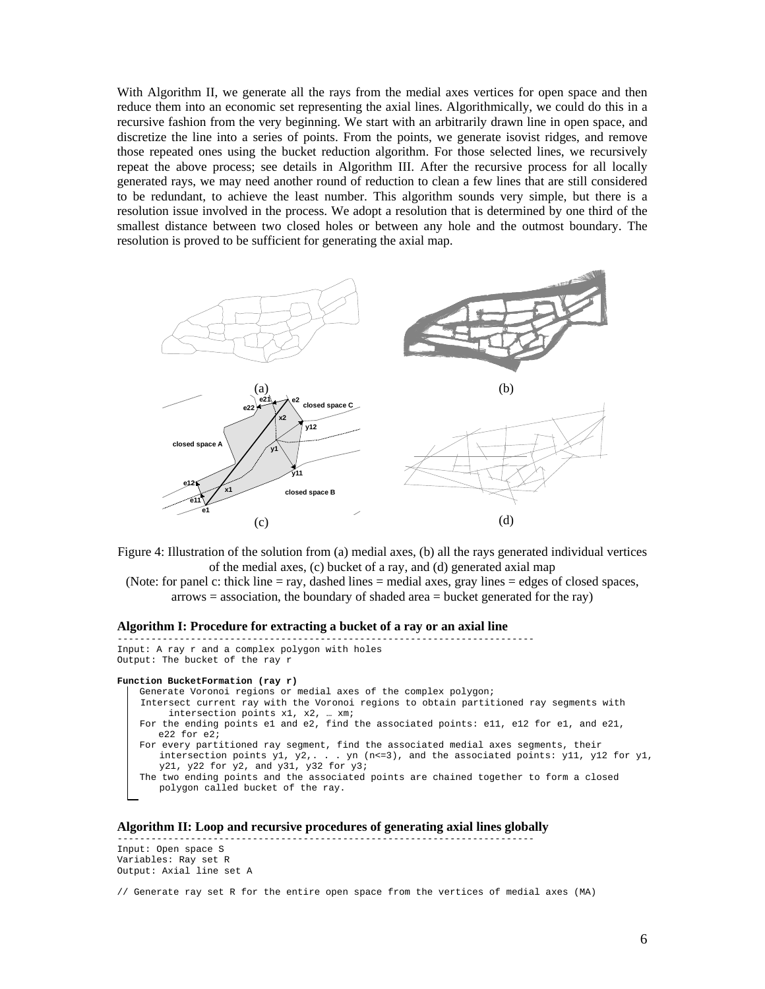With Algorithm II, we generate all the rays from the medial axes vertices for open space and then reduce them into an economic set representing the axial lines. Algorithmically, we could do this in a recursive fashion from the very beginning. We start with an arbitrarily drawn line in open space, and discretize the line into a series of points. From the points, we generate isovist ridges, and remove those repeated ones using the bucket reduction algorithm. For those selected lines, we recursively repeat the above process; see details in Algorithm III. After the recursive process for all locally generated rays, we may need another round of reduction to clean a few lines that are still considered to be redundant, to achieve the least number. This algorithm sounds very simple, but there is a resolution issue involved in the process. We adopt a resolution that is determined by one third of the smallest distance between two closed holes or between any hole and the outmost boundary. The resolution is proved to be sufficient for generating the axial map.



Figure 4: Illustration of the solution from (a) medial axes, (b) all the rays generated individual vertices of the medial axes, (c) bucket of a ray, and (d) generated axial map

(Note: for panel c: thick line = ray, dashed lines = medial axes, gray lines = edges of closed spaces,  $arrows = association$ , the boundary of shaded area  $=$  bucket generated for the ray)

### **Algorithm I: Procedure for extracting a bucket of a ray or an axial line**

-------------------------------------------------------------------------- Input: A ray r and a complex polygon with holes Output: The bucket of the ray r

#### **Function BucketFormation (ray r)**

```
 Generate Voronoi regions or medial axes of the complex polygon; 
Intersect current ray with the Voronoi regions to obtain partitioned ray segments with 
     intersection points x1, x2, … xm; 
For the ending points e1 and e2, find the associated points: e11, e12 for e1, and e21, 
   e22 for e2; 
 For every partitioned ray segment, find the associated medial axes segments, their 
   intersection points y1, y2,... yn (n<=3), and the associated points: y11, y12 for y1,
   y21, y22 for y2, and y31, y32 for y3; 
 The two ending points and the associated points are chained together to form a closed 
   polygon called bucket of the ray.
```
**Algorithm II: Loop and recursive procedures of generating axial lines globally** 

-------------------------------------------------------------------------- Input: Open space S Variables: Ray set R Output: Axial line set A

// Generate ray set R for the entire open space from the vertices of medial axes (MA)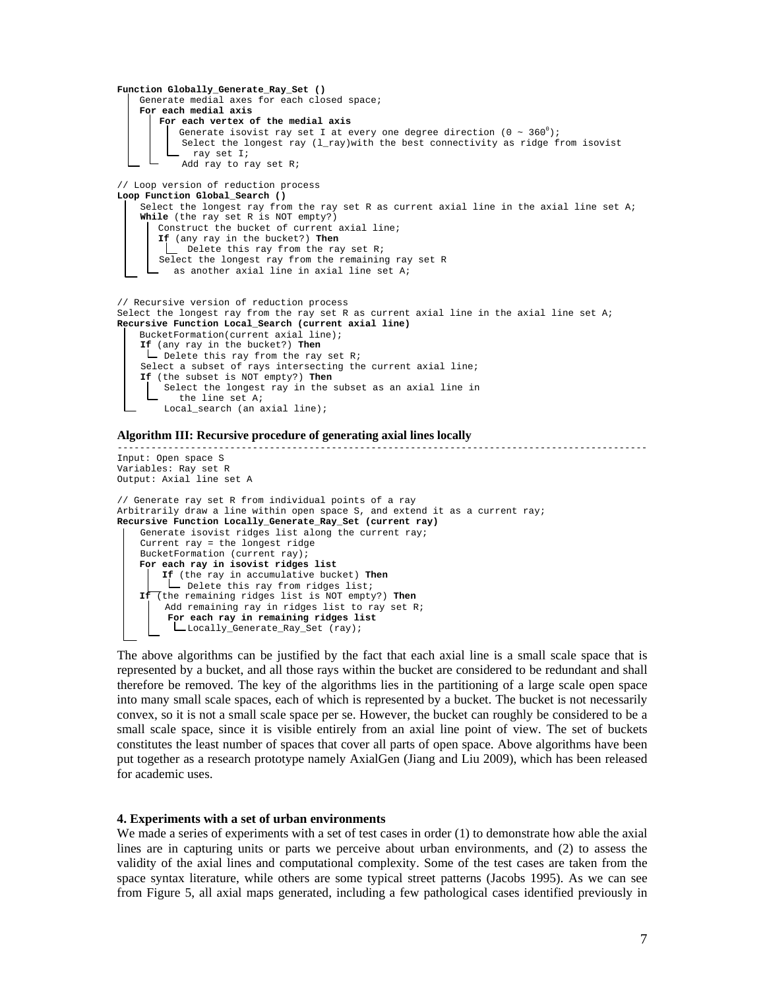```
Function Globally_Generate_Ray_Set ()
     Generate medial axes for each closed space; 
     For each medial axis
       For each vertex of the medial axis 
Generate isovist ray set I at every one degree direction (0 \sim 360^\circ);
            Select the longest ray (l_ray)with the best connectivity as ridge from isovist 
              ray set I; 
             Add ray to ray set R; 
// Loop version of reduction process 
Loop Function Global Search ()
    Select the longest ray from the ray set R as current axial line in the axial line set A; 
    While (the ray set R is NOT empty?)
       Construct the bucket of current axial line; 
       If (any ray in the bucket?) Then 
          Delete this ray from the ray set R;
       Select the longest ray from the remaining ray set R 
           as another axial line in axial line set A;
// Recursive version of reduction process 
Select the longest ray from the ray set R as current axial line in the axial line set A_i;
Recursive Function Local_Search (current axial line) 
     BucketFormation(current axial line); 
    If (any ray in the bucket?) Then
      - Delete this ray from the ray set R;
    Select a subset of rays intersecting the current axial line;
    If (the subset is NOT empty?) Then 
        Select the longest ray in the subset as an axial line in 
            the line set A; 
        Local_search (an axial line); 
Algorithm III: Recursive procedure of generating axial lines locally ---------------------------------------------------------------------------------------------- 
Input: Open space S 
Variables: Ray set R 
Output: Axial line set A 
// Generate ray set R from individual points of a ray
```

```
Arbitrarily draw a line within open space S, and extend it as a current ray; 
Recursive Function Locally_Generate_Ray_Set (current ray) 
    Generate isovist ridges list along the current ray; 
    Current ray = the longest ridge 
    BucketFormation (current ray); 
    For each ray in isovist ridges list 
         If (the ray in accumulative bucket) Then
         L Delete this ray from ridges list;
     If (the remaining ridges list is NOT empty?) Then
         Add remaining ray in ridges list to ray set R; 
          For each ray in remaining ridges list 
           Locally_Generate_Ray_Set (ray);
```
The above algorithms can be justified by the fact that each axial line is a small scale space that is represented by a bucket, and all those rays within the bucket are considered to be redundant and shall therefore be removed. The key of the algorithms lies in the partitioning of a large scale open space into many small scale spaces, each of which is represented by a bucket. The bucket is not necessarily convex, so it is not a small scale space per se. However, the bucket can roughly be considered to be a small scale space, since it is visible entirely from an axial line point of view. The set of buckets constitutes the least number of spaces that cover all parts of open space. Above algorithms have been put together as a research prototype namely AxialGen (Jiang and Liu 2009), which has been released for academic uses.

## **4. Experiments with a set of urban environments**

We made a series of experiments with a set of test cases in order (1) to demonstrate how able the axial lines are in capturing units or parts we perceive about urban environments, and (2) to assess the validity of the axial lines and computational complexity. Some of the test cases are taken from the space syntax literature, while others are some typical street patterns (Jacobs 1995). As we can see from Figure 5, all axial maps generated, including a few pathological cases identified previously in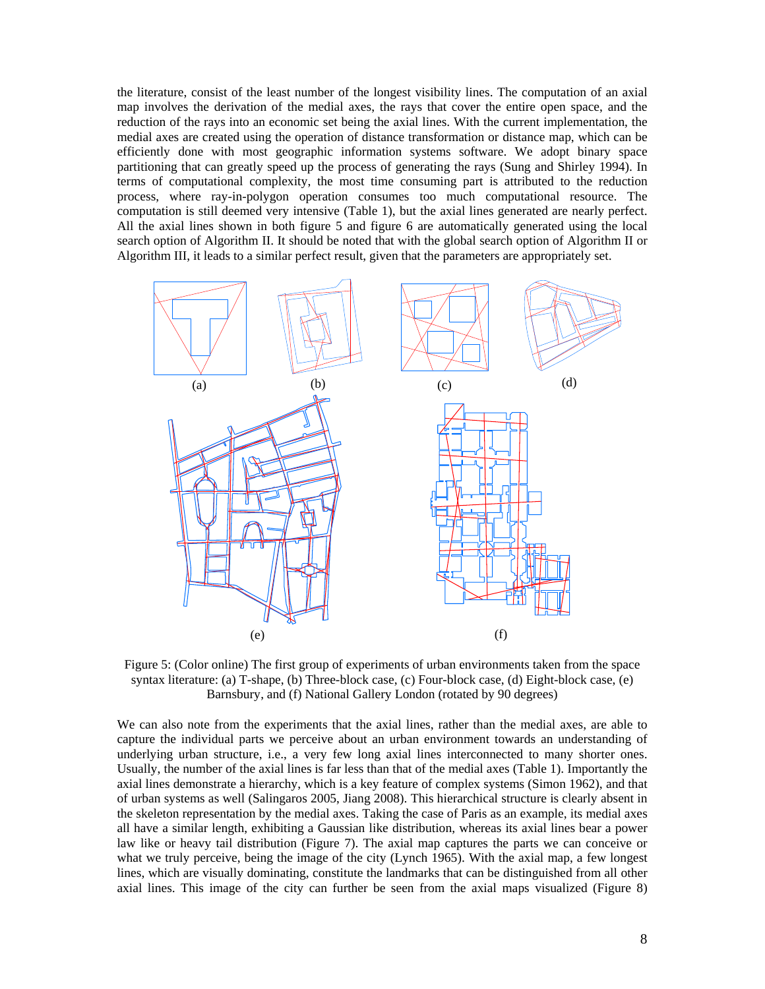the literature, consist of the least number of the longest visibility lines. The computation of an axial map involves the derivation of the medial axes, the rays that cover the entire open space, and the reduction of the rays into an economic set being the axial lines. With the current implementation, the medial axes are created using the operation of distance transformation or distance map, which can be efficiently done with most geographic information systems software. We adopt binary space partitioning that can greatly speed up the process of generating the rays (Sung and Shirley 1994). In terms of computational complexity, the most time consuming part is attributed to the reduction process, where ray-in-polygon operation consumes too much computational resource. The computation is still deemed very intensive (Table 1), but the axial lines generated are nearly perfect. All the axial lines shown in both figure 5 and figure 6 are automatically generated using the local search option of Algorithm II. It should be noted that with the global search option of Algorithm II or Algorithm III, it leads to a similar perfect result, given that the parameters are appropriately set.



Figure 5: (Color online) The first group of experiments of urban environments taken from the space syntax literature: (a) T-shape, (b) Three-block case, (c) Four-block case, (d) Eight-block case, (e) Barnsbury, and (f) National Gallery London (rotated by 90 degrees)

We can also note from the experiments that the axial lines, rather than the medial axes, are able to capture the individual parts we perceive about an urban environment towards an understanding of underlying urban structure, i.e., a very few long axial lines interconnected to many shorter ones. Usually, the number of the axial lines is far less than that of the medial axes (Table 1). Importantly the axial lines demonstrate a hierarchy, which is a key feature of complex systems (Simon 1962), and that of urban systems as well (Salingaros 2005, Jiang 2008). This hierarchical structure is clearly absent in the skeleton representation by the medial axes. Taking the case of Paris as an example, its medial axes all have a similar length, exhibiting a Gaussian like distribution, whereas its axial lines bear a power law like or heavy tail distribution (Figure 7). The axial map captures the parts we can conceive or what we truly perceive, being the image of the city (Lynch 1965). With the axial map, a few longest lines, which are visually dominating, constitute the landmarks that can be distinguished from all other axial lines. This image of the city can further be seen from the axial maps visualized (Figure 8)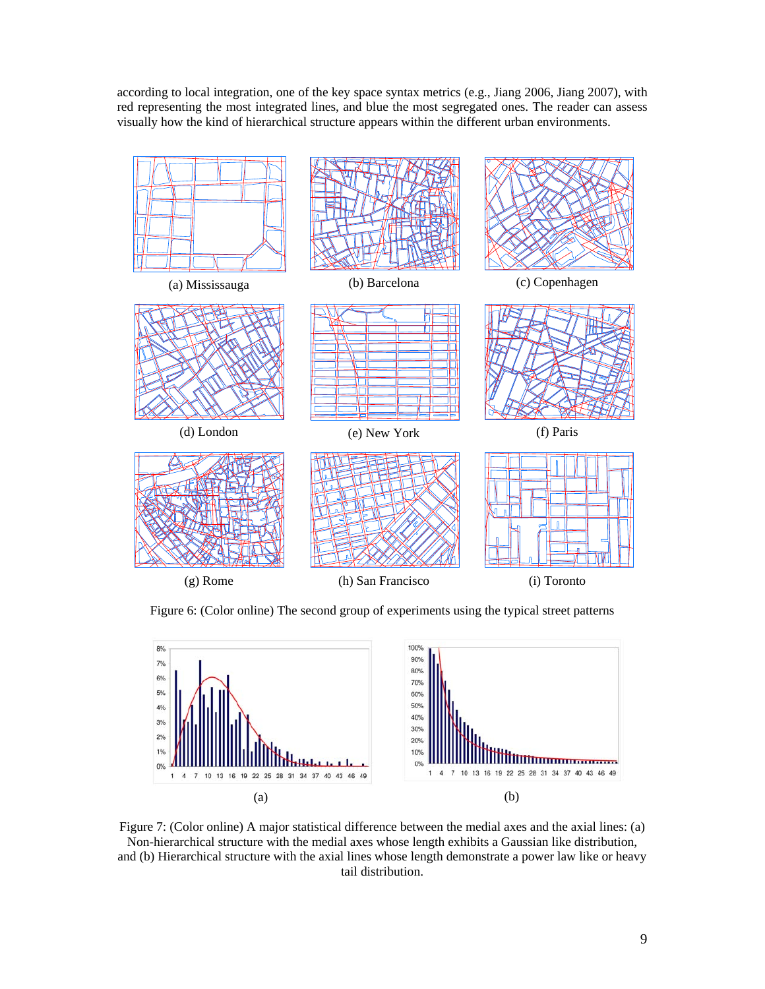according to local integration, one of the key space syntax metrics (e.g., Jiang 2006, Jiang 2007), with red representing the most integrated lines, and blue the most segregated ones. The reader can assess visually how the kind of hierarchical structure appears within the different urban environments.



Figure 6: (Color online) The second group of experiments using the typical street patterns



Figure 7: (Color online) A major statistical difference between the medial axes and the axial lines: (a) Non-hierarchical structure with the medial axes whose length exhibits a Gaussian like distribution, and (b) Hierarchical structure with the axial lines whose length demonstrate a power law like or heavy tail distribution.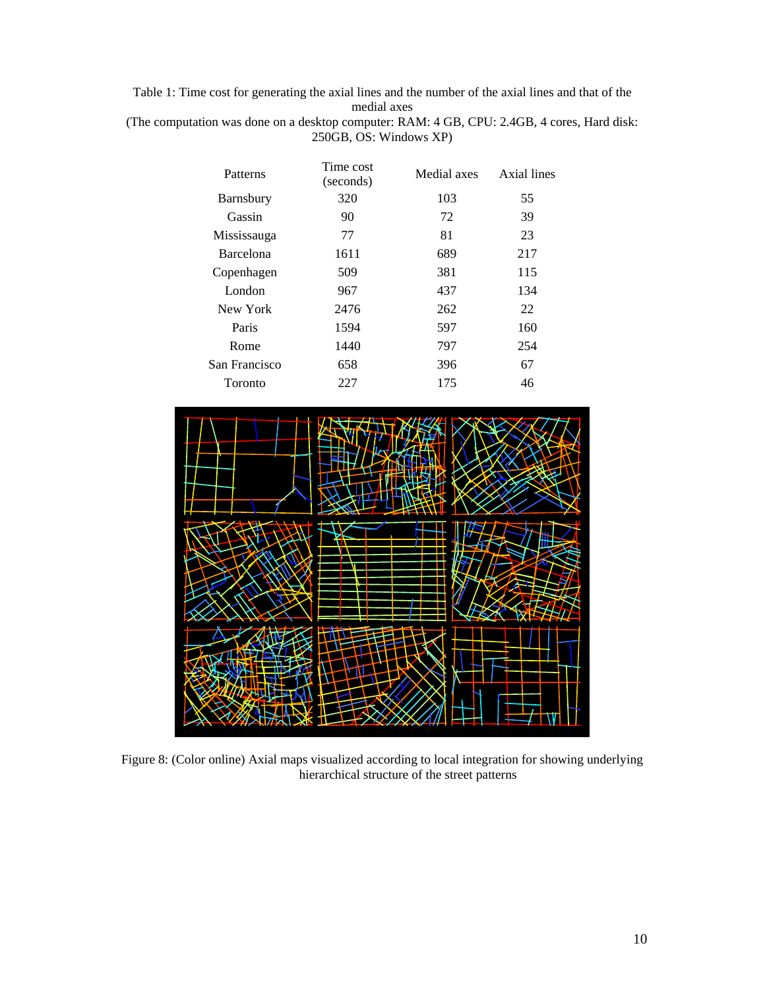Table 1: Time cost for generating the axial lines and the number of the axial lines and that of the medial axes

(The computation was done on a desktop computer: RAM: 4 GB, CPU: 2.4GB, 4 cores, Hard disk: 250GB, OS: Windows XP)

| Patterns         | Time cost<br>(seconds) | Medial axes | Axial lines |
|------------------|------------------------|-------------|-------------|
| Barnsbury        | 320                    | 103         | 55          |
| Gassin           | 90                     | 72          | 39          |
| Mississauga      | 77                     | 81          | 23          |
| <b>Barcelona</b> | 1611                   | 689         | 217         |
| Copenhagen       | 509                    | 381         | 115         |
| London           | 967                    | 437         | 134         |
| New York         | 2476                   | 262         | 22          |
| Paris            | 1594                   | 597         | 160         |
| Rome             | 1440                   | 797         | 254         |
| San Francisco    | 658                    | 396         | 67          |
| Toronto          | 227                    | 175         | 46          |



Figure 8: (Color online) Axial maps visualized according to local integration for showing underlying hierarchical structure of the street patterns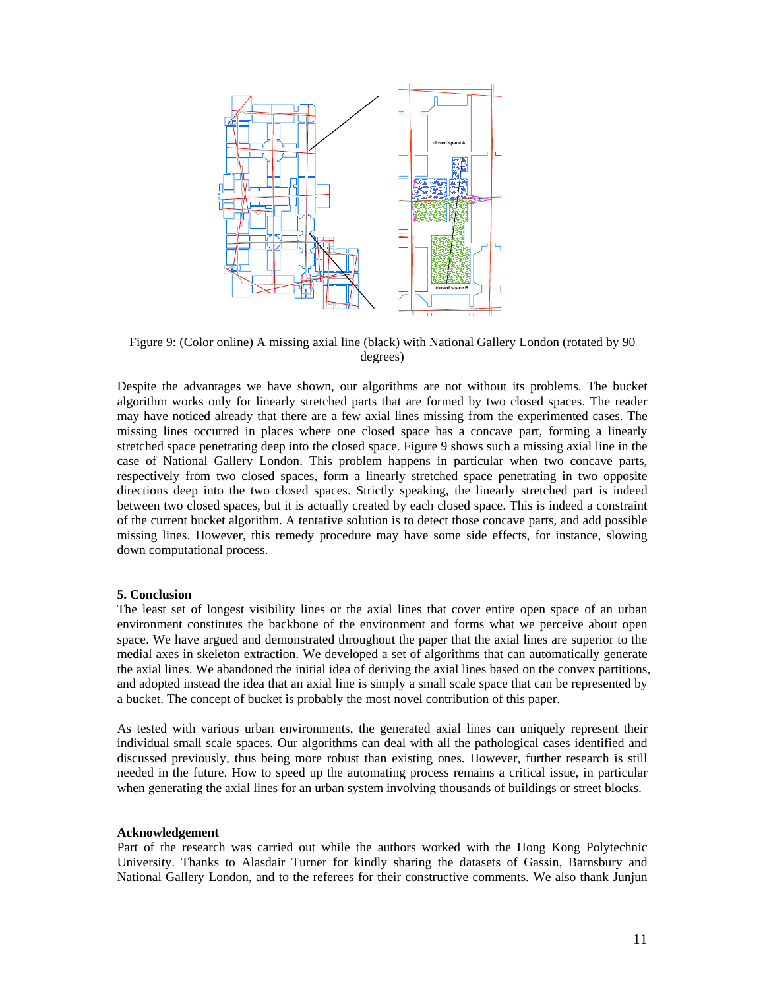

Figure 9: (Color online) A missing axial line (black) with National Gallery London (rotated by 90 degrees)

Despite the advantages we have shown, our algorithms are not without its problems. The bucket algorithm works only for linearly stretched parts that are formed by two closed spaces. The reader may have noticed already that there are a few axial lines missing from the experimented cases. The missing lines occurred in places where one closed space has a concave part, forming a linearly stretched space penetrating deep into the closed space. Figure 9 shows such a missing axial line in the case of National Gallery London. This problem happens in particular when two concave parts, respectively from two closed spaces, form a linearly stretched space penetrating in two opposite directions deep into the two closed spaces. Strictly speaking, the linearly stretched part is indeed between two closed spaces, but it is actually created by each closed space. This is indeed a constraint of the current bucket algorithm. A tentative solution is to detect those concave parts, and add possible missing lines. However, this remedy procedure may have some side effects, for instance, slowing down computational process.

### **5. Conclusion**

The least set of longest visibility lines or the axial lines that cover entire open space of an urban environment constitutes the backbone of the environment and forms what we perceive about open space. We have argued and demonstrated throughout the paper that the axial lines are superior to the medial axes in skeleton extraction. We developed a set of algorithms that can automatically generate the axial lines. We abandoned the initial idea of deriving the axial lines based on the convex partitions, and adopted instead the idea that an axial line is simply a small scale space that can be represented by a bucket. The concept of bucket is probably the most novel contribution of this paper.

As tested with various urban environments, the generated axial lines can uniquely represent their individual small scale spaces. Our algorithms can deal with all the pathological cases identified and discussed previously, thus being more robust than existing ones. However, further research is still needed in the future. How to speed up the automating process remains a critical issue, in particular when generating the axial lines for an urban system involving thousands of buildings or street blocks.

### **Acknowledgement**

Part of the research was carried out while the authors worked with the Hong Kong Polytechnic University. Thanks to Alasdair Turner for kindly sharing the datasets of Gassin, Barnsbury and National Gallery London, and to the referees for their constructive comments. We also thank Junjun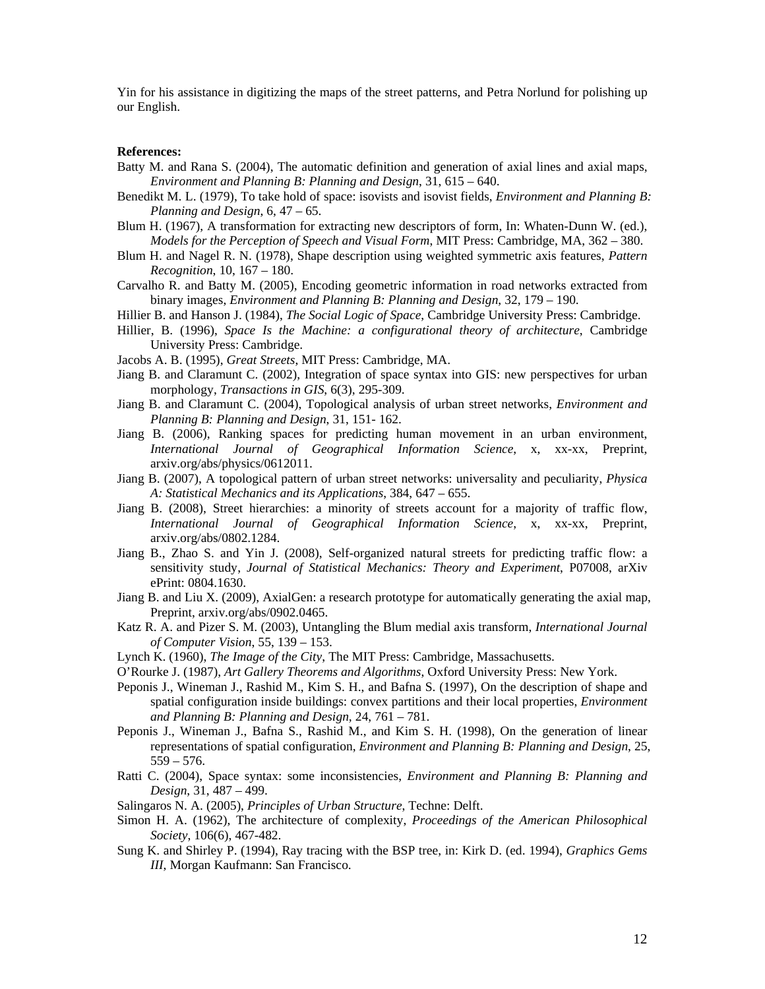Yin for his assistance in digitizing the maps of the street patterns, and Petra Norlund for polishing up our English.

# **References:**

- Batty M. and Rana S. (2004), The automatic definition and generation of axial lines and axial maps, *Environment and Planning B: Planning and Design*, 31, 615 – 640.
- Benedikt M. L. (1979), To take hold of space: isovists and isovist fields, *Environment and Planning B: Planning and Design*, 6, 47 – 65.
- Blum H. (1967), A transformation for extracting new descriptors of form, In: Whaten-Dunn W. (ed.), *Models for the Perception of Speech and Visual Form*, MIT Press: Cambridge, MA, 362 – 380.
- Blum H. and Nagel R. N. (1978), Shape description using weighted symmetric axis features, *Pattern Recognition*, 10, 167 – 180.
- Carvalho R. and Batty M. (2005), Encoding geometric information in road networks extracted from binary images, *Environment and Planning B: Planning and Design*, 32, 179 – 190.
- Hillier B. and Hanson J. (1984), *The Social Logic of Space*, Cambridge University Press: Cambridge.
- Hillier, B. (1996), *Space Is the Machine: a configurational theory of architecture*, Cambridge University Press: Cambridge.
- Jacobs A. B. (1995), *Great Streets*, MIT Press: Cambridge, MA.
- Jiang B. and Claramunt C. (2002), Integration of space syntax into GIS: new perspectives for urban morphology, *Transactions in GIS*, 6(3), 295-309.
- Jiang B. and Claramunt C. (2004), Topological analysis of urban street networks, *Environment and Planning B: Planning and Design*, 31, 151- 162.
- Jiang B. (2006), Ranking spaces for predicting human movement in an urban environment, *International Journal of Geographical Information Science*, x, xx-xx, Preprint, arxiv.org/abs/physics/0612011.
- Jiang B. (2007), A topological pattern of urban street networks: universality and peculiarity, *Physica A: Statistical Mechanics and its Applications*, 384, 647 – 655.
- Jiang B. (2008), Street hierarchies: a minority of streets account for a majority of traffic flow, *International Journal of Geographical Information Science*, x, xx-xx, Preprint, arxiv.org/abs/0802.1284.
- Jiang B., Zhao S. and Yin J. (2008), Self-organized natural streets for predicting traffic flow: a sensitivity study, *Journal of Statistical Mechanics: Theory and Experiment*, P07008, arXiv ePrint: 0804.1630.
- Jiang B. and Liu X. (2009), AxialGen: a research prototype for automatically generating the axial map, Preprint, arxiv.org/abs/0902.0465.
- Katz R. A. and Pizer S. M. (2003), Untangling the Blum medial axis transform, *International Journal of Computer Vision*, 55, 139 – 153.
- Lynch K. (1960), *The Image of the City*, The MIT Press: Cambridge, Massachusetts.
- O'Rourke J. (1987), *Art Gallery Theorems and Algorithms*, Oxford University Press: New York.
- Peponis J., Wineman J., Rashid M., Kim S. H., and Bafna S. (1997), On the description of shape and spatial configuration inside buildings: convex partitions and their local properties, *Environment and Planning B: Planning and Design,* 24, 761 – 781.
- Peponis J., Wineman J., Bafna S., Rashid M., and Kim S. H. (1998), On the generation of linear representations of spatial configuration, *Environment and Planning B: Planning and Design*, 25, 559 – 576.
- Ratti C. (2004), Space syntax: some inconsistencies, *Environment and Planning B: Planning and Design*, 31, 487 – 499.
- Salingaros N. A. (2005), *Principles of Urban Structure*, Techne: Delft.
- Simon H. A. (1962), The architecture of complexity, *Proceedings of the American Philosophical Society*, 106(6), 467-482.
- Sung K. and Shirley P. (1994), Ray tracing with the BSP tree, in: Kirk D. (ed. 1994), *Graphics Gems III*, Morgan Kaufmann: San Francisco.